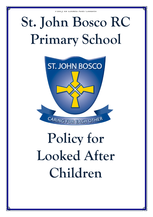# **St. John Bosco RC Primary School**



# **Policy for Looked After Children**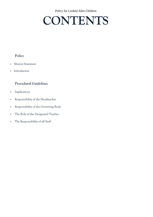## **CONTENTS**

### **Policy**

- **Mission Statement**
- **Introduction**

### **Procedural Guidelines**

- **Implications**
- Responsibility of the Headteacher
- Responsibility of the Governing Body
- The Role of the Designated Teacher
- The Responsibility of all Staff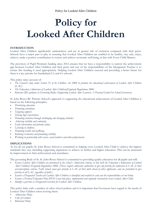## **Policy for Looked After Children**

#### **INTRODUCTION**

Looked After Children significantly underachieve and are at greater risk of exclusion compared with their peers. Schools have a major part to play in ensuring that Looked After Children are enabled to be healthy, stay safe, enjoy, achieve, make a positive contribution to society and achieve economic well being, in line with Every Child Matters.

The provision of Pupil Premium funding since 2012 ensures that we have a responsibility to narrow the achievement gap between Looked After Children and their peers and one of the responsibilities of the Designated Teacher is to ensure this funding is used appropriately. Helping Looked After Children succeed and providing a better future for them is a key priority for Sunderland LA and it's schools.

This policy takes account of:

- *The Council's duty under Section 52 of the Children Act 2004 to promote the educational achievement of Looked After Children (LAC).*
- *The Education (Admission of Looked After Children)(England) Regulations 2006.*
- *Relevant DfE guidance to Governing Bodies (Supporting Looked After Learners: A Practical Guide For School Governors).*

St. John Bosco RC Primary School's approach to supporting the educational achievement of Looked After Children is based on the following principles:

- *Prioritising education.*
- *Promoting attendance*
- *Targeting support.*
- *Having high expectations.*
- *Promoting inclusion through challenging and changing attitudes.*
- *Achieving stability and continuity.*
- *Early intervention and priority action.*
- *Listening to children.*
- *Promoting health and wellbeing.*
- *Reducing exclusions and promoting stability.*
- *Working in partnership with carers, social workers and other professionals.*

#### **IMPLICATIONS**

As for all our pupils, St. John Bosco School is committed to helping every Looked After Child to achieve the highest standards they can, including supporting aspirations to achieve in further and higher education. This can be measured by improvement in their achievement and attendance.

The governing Body of St. St. John Bosco School is committed to providing quality education for all pupils and will:

- *Ensure Looked After Children are prioritised in the school's Admissions criteria, in line with the Education (Admissions of Looked After Children) (England) Regulations 2006. (Theses require admission authorities to give top priority for admission to LAC in their oversubscription criteria. Faith schools must give priority to LAC of their faith ahead of other applicants, and are permitted to give priority to all LAC, regardless of faith.)*
- *Ensure a Designated Teacher for Looked After Children is identified and enabled to carry out the responsibilities set out below.*
- *Ensure a Personal Education Plan (PEP) is put into place, implemented and regularly reviewed for every Looked After Child.*
- *Identify a governor as Designated Governor for Looked After Children.*

This policy links with a number of other school policies and it is important that Governors have regard to the needs of Looked After Children when revising them:

- *Admissions Policy.*
- *Code of Conduct.*
- *Behaviour Policy.*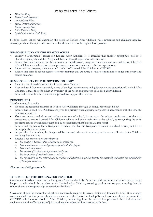- *Discipline Policy*
- *Home School Agreement.*
- *Anti-bullying Policy.*
- *Equal Opportunities Policy.*
- *Racial Equality Policy*
- *Child Protection Policy.*
- *Special Educational Needs Policy.*

St. John Bosco School will champion the needs of Looked After Children, raise awareness and challenge negative stereotypes about them, in order to ensure that they achieve to the highest level possible.

#### **RESPONSIBILITY OF THE HEADTEACHER**

- Identify a Designated Teacher for Looked After Children. It is essential that another appropriate person is identified quickly should the Designated Teacher leave the school or take sick leave.
- Ensure that procedures are in place to monitor the admission, progress, attendance and any exclusions of Looked After Children and take action where progress, conduct or attendance is below expectations.
- Report on the progress, attendance and conduct of Looked After Children to OFSTED.
- Ensure that staff in school receives relevant training and are aware of their responsibilities under this policy and related guidance.

#### **RESPONSIBILITY OF THE GOVERNING BODY**

- Identify a nominated Governor for Looked After Children.
- Ensure that all Governors are fully aware of the legal requirements and guidance on the education of Looked After Children. Ensure the school has an overview of the needs and progress of Looked after Children.
- Ensure the school's other policies and procedures support their needs.

#### **PROCEDURES:**

The Governing Body will:

- Monitor the academic progress of Looked After Children, through an annual report (see below).
- Ensure that Looked After Children are given top priority when applying for places in accordance with the school's Admissions Criteria.
- Work to prevent exclusions and reduce time out of school, by ensuring the school implements policies and procedures to ensure Looked After Children achieve and enjoy their time at the school, by recognising the extra problems caused by excluding them and by not excluding them except as a last resort.
- Ensure that the school has a Designated Teacher, and that the Designated Teacher is enabled to carry out his or her responsibilities as below.
- Support the Head teacher, the Designated Teacher and other staff ensuring that the needs of Looked after Children are recognised and met.
- Receive a report once a year setting out:
	- *1. The number of Looked After Children on the schools roll.*
	- *2. Their attendance, as a discreet group, compared with other pupils.*
	- *3. Their academic progress.*
	- *4. The number of fixed term and permanent exclusion.*
	- *5. The destinations of pupils who leave the school.*
	- *6. The information for this report should be collected and reported in ways that preserve the anonymity and respect the confidentiality of the pupils concerned.*

#### **Our current LAC governor is:**

#### **THE ROLE OF THE DESIGNATED TEACHER**

Government Guidance says that the Designated Teacher should be "someone with sufficient authority to make things happen … who should be an advocate for Looked After Children, assessing services and support, ensuring that the school shares and supports high expectations for them."

Governors should be aware that all schools are already required to have a designated teacher for LAC. It is strongly recommended that this person should be a member of the Senior Leadership Team. Governors should be aware that OFSTED will focus on Looked After Children, monitoring how the school has promoted their inclusion and attainment and the effectiveness of joint working with other services involved with them.